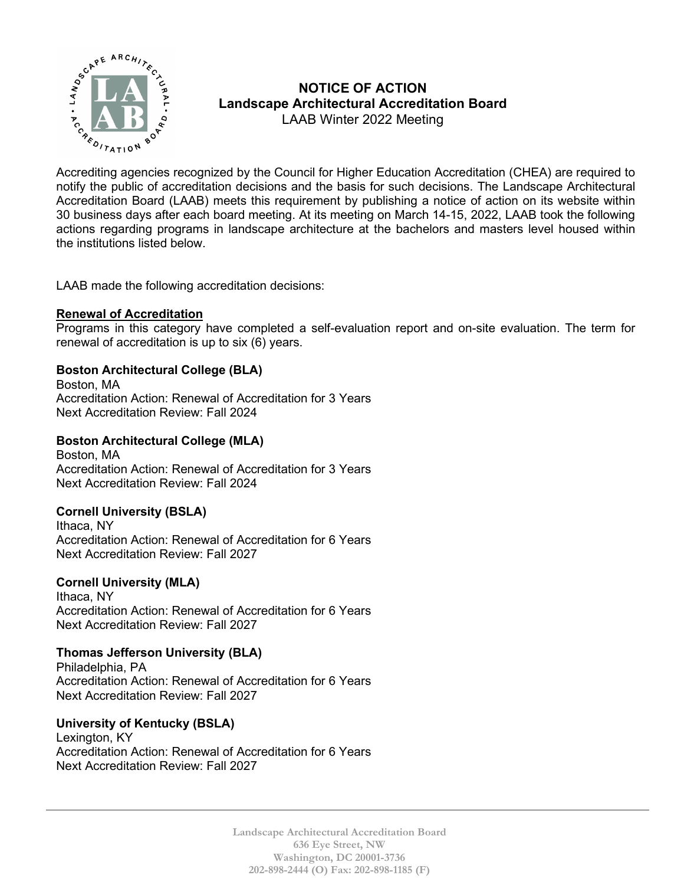

# **NOTICE OF ACTION Landscape Architectural Accreditation Board**  LAAB Winter 2022 Meeting

 $\sum_{\mathcal{A}_{\mathcal{B}} \in \mathcal{A}} \sum_{\mathcal{A}_{\mathcal{B}} \in \mathcal{A}} \mathcal{A}_{\mathcal{B}}$  are required to Accrediting agencies recognized by the Council for Higher Education Accreditation (CHEA) are required to notify the public of accreditation decisions and the basis for such decisions. The Landscape Architectural Accreditation Board (LAAB) meets this requirement by publishing a notice of action on its website within 30 business days after each board meeting. At its meeting on March 14-15, 2022, LAAB took the following actions regarding programs in landscape architecture at the bachelors and masters level housed within the institutions listed below.

LAAB made the following accreditation decisions:

### **Renewal of Accreditation**

Programs in this category have completed a self-evaluation report and on-site evaluation. The term for renewal of accreditation is up to six (6) years.

# **Boston Architectural College (BLA)**

Boston, MA Accreditation Action: Renewal of Accreditation for 3 Years Next Accreditation Review: Fall 2024

### **Boston Architectural College (MLA)**

Boston, MA Accreditation Action: Renewal of Accreditation for 3 Years Next Accreditation Review: Fall 2024

# **Cornell University (BSLA)**

Ithaca, NY Accreditation Action: Renewal of Accreditation for 6 Years Next Accreditation Review: Fall 2027

#### **Cornell University (MLA)**

Ithaca, NY Accreditation Action: Renewal of Accreditation for 6 Years Next Accreditation Review: Fall 2027

# **Thomas Jefferson University (BLA)**

Philadelphia, PA Accreditation Action: Renewal of Accreditation for 6 Years Next Accreditation Review: Fall 2027

# **University of Kentucky (BSLA)**

Lexington, KY Accreditation Action: Renewal of Accreditation for 6 Years Next Accreditation Review: Fall 2027

> **Landscape Architectural Accreditation Board 636 Eye Street, NW Washington, DC 20001-3736 202-898-2444 (O) Fax: 202-898-1185 (F)**